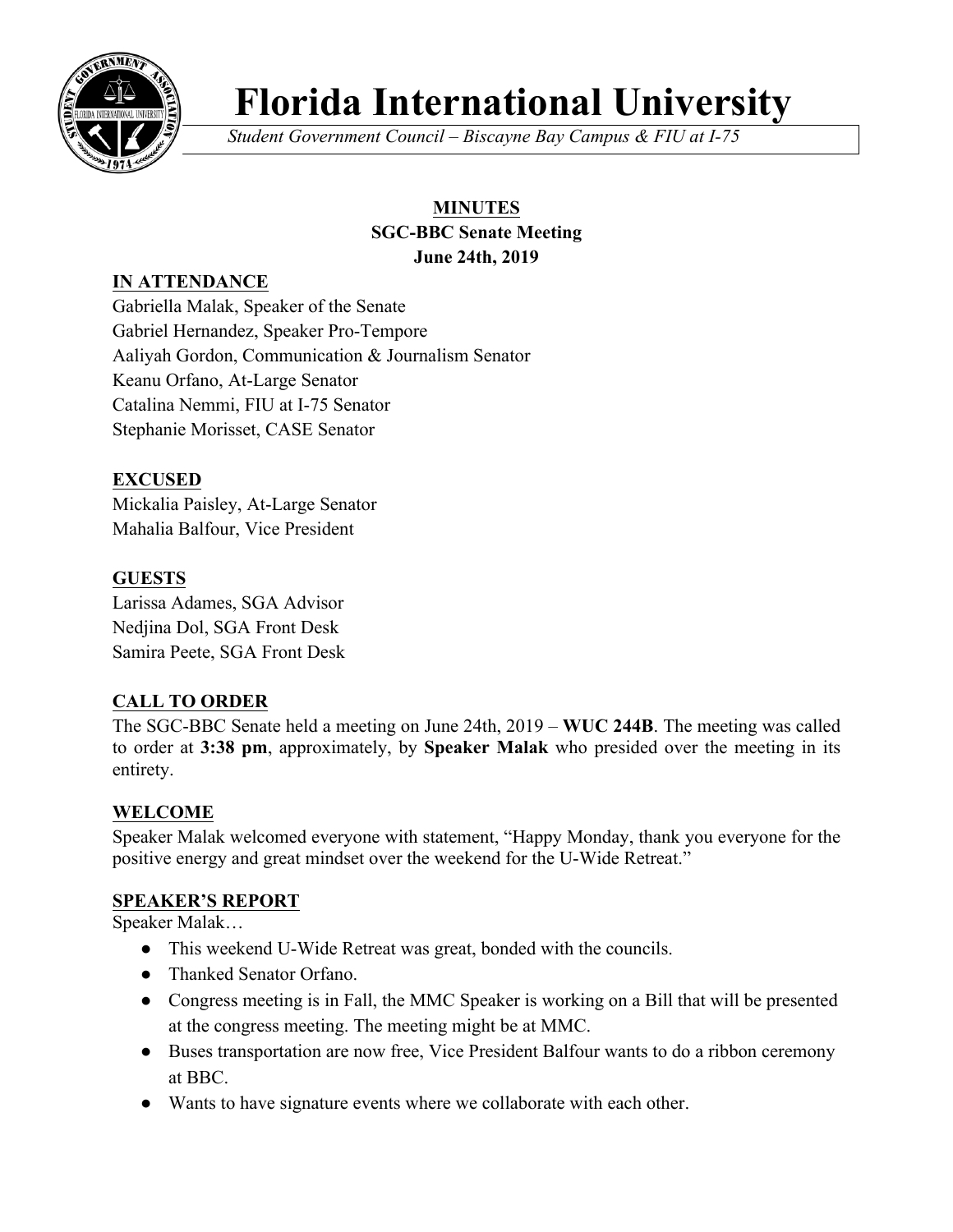

# **Florida International University**

*Student Government Council – Biscayne Bay Campus & FIU at I-75*

# **MINUTES**

#### **SGC-BBC Senate Meeting June 24th, 2019**

# **IN ATTENDANCE**

Gabriella Malak, Speaker of the Senate Gabriel Hernandez, Speaker Pro-Tempore Aaliyah Gordon, Communication & Journalism Senator Keanu Orfano, At-Large Senator Catalina Nemmi, FIU at I-75 Senator Stephanie Morisset, CASE Senator

# **EXCUSED**

Mickalia Paisley, At-Large Senator Mahalia Balfour, Vice President

# **GUESTS**

Larissa Adames, SGA Advisor Nedjina Dol, SGA Front Desk Samira Peete, SGA Front Desk

# **CALL TO ORDER**

The SGC-BBC Senate held a meeting on June 24th, 2019 – **WUC 244B**. The meeting was called to order at **3:38 pm**, approximately, by **Speaker Malak** who presided over the meeting in its entirety.

# **WELCOME**

Speaker Malak welcomed everyone with statement, "Happy Monday, thank you everyone for the positive energy and great mindset over the weekend for the U-Wide Retreat."

## **SPEAKER'S REPORT**

Speaker Malak…

- This weekend U-Wide Retreat was great, bonded with the councils.
- Thanked Senator Orfano.
- Congress meeting is in Fall, the MMC Speaker is working on a Bill that will be presented at the congress meeting. The meeting might be at MMC.
- Buses transportation are now free, Vice President Balfour wants to do a ribbon ceremony at BBC.
- Wants to have signature events where we collaborate with each other.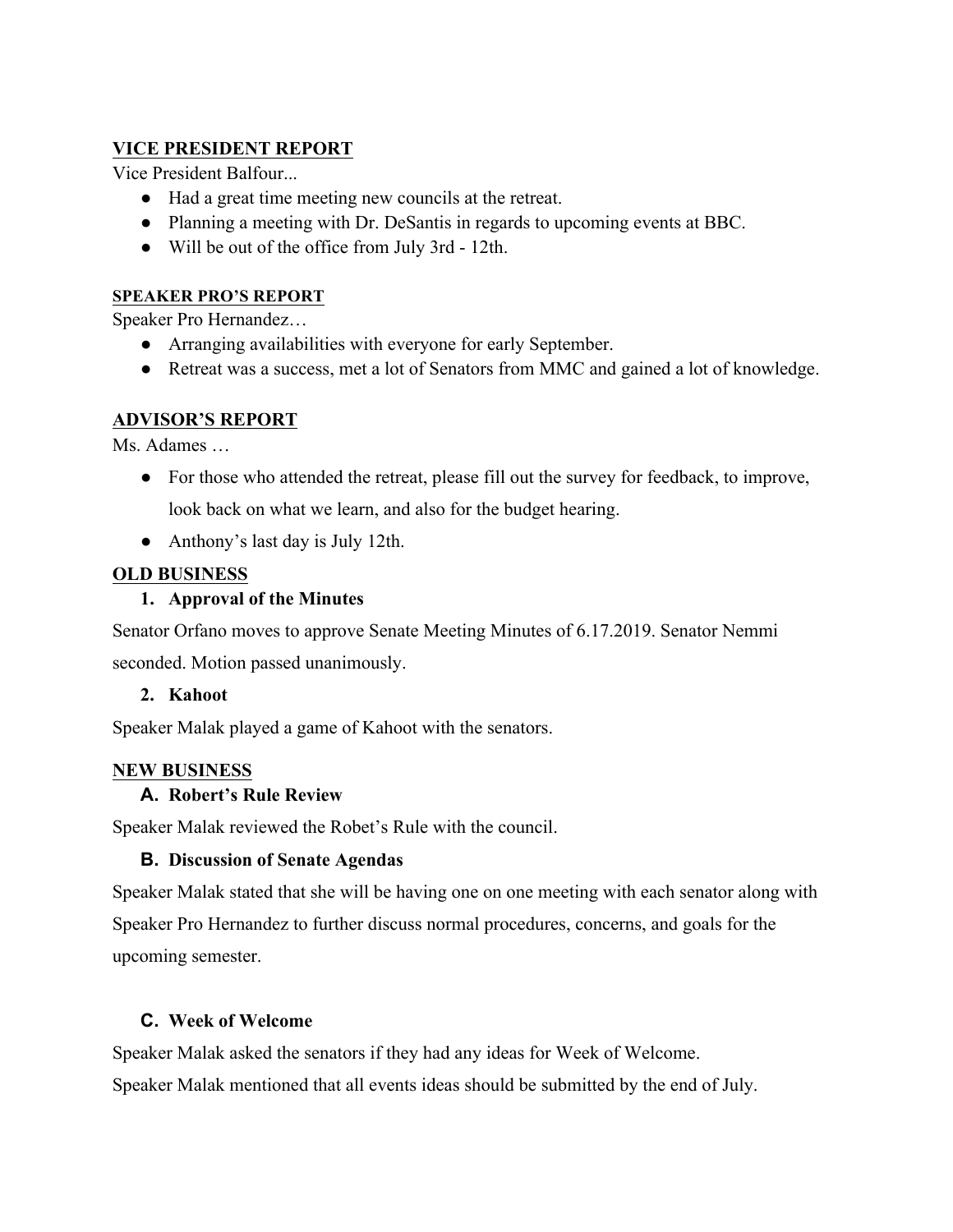## **VICE PRESIDENT REPORT**

Vice President Balfour...

- Had a great time meeting new councils at the retreat.
- Planning a meeting with Dr. DeSantis in regards to upcoming events at BBC.
- Will be out of the office from July 3rd 12th.

#### **SPEAKER PRO'S REPORT**

Speaker Pro Hernandez…

- Arranging availabilities with everyone for early September.
- Retreat was a success, met a lot of Senators from MMC and gained a lot of knowledge.

## **ADVISOR'S REPORT**

Ms. Adames …

- For those who attended the retreat, please fill out the survey for feedback, to improve, look back on what we learn, and also for the budget hearing.
- Anthony's last day is July 12th.

## **OLD BUSINESS**

## **1. Approval of the Minutes**

Senator Orfano moves to approve Senate Meeting Minutes of 6.17.2019. Senator Nemmi seconded. Motion passed unanimously.

# **2. Kahoot**

Speaker Malak played a game of Kahoot with the senators.

## **NEW BUSINESS**

## **A. Robert's Rule Review**

Speaker Malak reviewed the Robet's Rule with the council.

## **B. Discussion of Senate Agendas**

Speaker Malak stated that she will be having one on one meeting with each senator along with Speaker Pro Hernandez to further discuss normal procedures, concerns, and goals for the upcoming semester.

## **C. Week of Welcome**

Speaker Malak asked the senators if they had any ideas for Week of Welcome.

Speaker Malak mentioned that all events ideas should be submitted by the end of July.